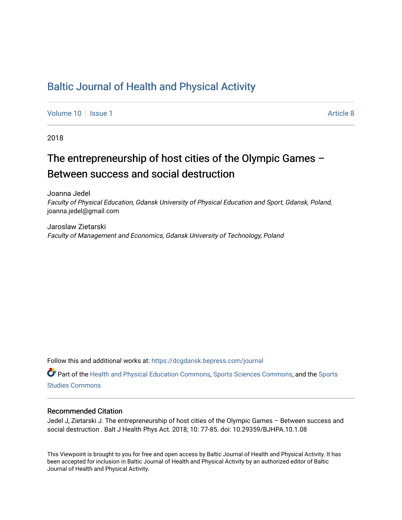## [Baltic Journal of Health and Physical Activity](https://dcgdansk.bepress.com/journal)

[Volume 10](https://dcgdansk.bepress.com/journal/vol10) | [Issue 1](https://dcgdansk.bepress.com/journal/vol10/iss1) Article 8

2018

## The entrepreneurship of host cities of the Olympic Games – Between success and social destruction

Joanna Jedel Faculty of Physical Education, Gdansk University of Physical Education and Sport, Gdansk, Poland, joanna.jedel@gmail.com

Jaroslaw Zietarski Faculty of Management and Economics, Gdansk University of Technology, Poland

Follow this and additional works at: [https://dcgdansk.bepress.com/journal](https://dcgdansk.bepress.com/journal?utm_source=dcgdansk.bepress.com%2Fjournal%2Fvol10%2Fiss1%2F8&utm_medium=PDF&utm_campaign=PDFCoverPages)

Part of the [Health and Physical Education Commons](http://network.bepress.com/hgg/discipline/1327?utm_source=dcgdansk.bepress.com%2Fjournal%2Fvol10%2Fiss1%2F8&utm_medium=PDF&utm_campaign=PDFCoverPages), [Sports Sciences Commons](http://network.bepress.com/hgg/discipline/759?utm_source=dcgdansk.bepress.com%2Fjournal%2Fvol10%2Fiss1%2F8&utm_medium=PDF&utm_campaign=PDFCoverPages), and the [Sports](http://network.bepress.com/hgg/discipline/1198?utm_source=dcgdansk.bepress.com%2Fjournal%2Fvol10%2Fiss1%2F8&utm_medium=PDF&utm_campaign=PDFCoverPages)  [Studies Commons](http://network.bepress.com/hgg/discipline/1198?utm_source=dcgdansk.bepress.com%2Fjournal%2Fvol10%2Fiss1%2F8&utm_medium=PDF&utm_campaign=PDFCoverPages) 

#### Recommended Citation

Jedel J, Zietarski J. The entrepreneurship of host cities of the Olympic Games – Between success and social destruction . Balt J Health Phys Act. 2018; 10: 77-85. doi: 10.29359/BJHPA.10.1.08

This Viewpoint is brought to you for free and open access by Baltic Journal of Health and Physical Activity. It has been accepted for inclusion in Baltic Journal of Health and Physical Activity by an authorized editor of Baltic Journal of Health and Physical Activity.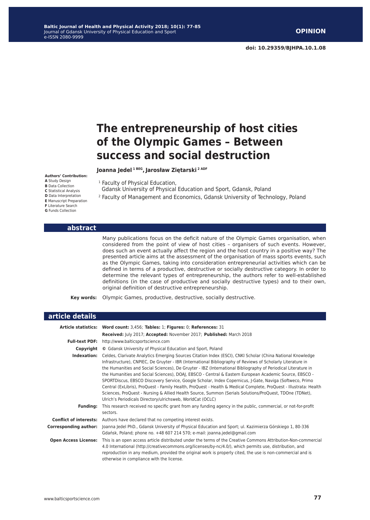# **The entrepreneurship of host cities of the Olympic Games – Between success and social destruction**

**Joanna Jedel 1 BEG, Jarosław Ziętarski 2 ADF**

#### **Authors' Contribution:**

**A** Study Design **B** Data Collection **C** Statistical Analysis **D** Data Interpretation **E** Manuscript Preparation **F** Literature Search **G** Funds Collection

#### <sup>1</sup> Faculty of Physical Education,

Gdansk University of Physical Education and Sport, Gdansk, Poland

2 Faculty of Management and Economics, Gdansk University of Technology, Poland

#### **abstract**

Many publications focus on the deficit nature of the Olympic Games organisation, when considered from the point of view of host cities – organisers of such events. However, does such an event actually affect the region and the host country in a positive way? The presented article aims at the assessment of the organisation of mass sports events, such as the Olympic Games, taking into consideration entrepreneurial activities which can be defined in terms of a productive, destructive or socially destructive category. In order to determine the relevant types of entrepreneurship, the authors refer to well-established definitions (in the case of productive and socially destructive types) and to their own, original definition of destructive entrepreneurship.

**Key words:** Olympic Games, productive, destructive, socially destructive.

| article details               |                                                                                                                                                                                                                                                                                                                                                                                                                                                                                                                                                                                                                                                                                                                                                                                                                                                               |  |  |  |
|-------------------------------|---------------------------------------------------------------------------------------------------------------------------------------------------------------------------------------------------------------------------------------------------------------------------------------------------------------------------------------------------------------------------------------------------------------------------------------------------------------------------------------------------------------------------------------------------------------------------------------------------------------------------------------------------------------------------------------------------------------------------------------------------------------------------------------------------------------------------------------------------------------|--|--|--|
| <b>Article statistics:</b>    | Word count: 3,456; Tables: 1; Figures: 0; References: 31                                                                                                                                                                                                                                                                                                                                                                                                                                                                                                                                                                                                                                                                                                                                                                                                      |  |  |  |
|                               | Received: July 2017; Accepted: November 2017; Published: March 2018                                                                                                                                                                                                                                                                                                                                                                                                                                                                                                                                                                                                                                                                                                                                                                                           |  |  |  |
| <b>Full-text PDF:</b>         | http://www.balticsportscience.com                                                                                                                                                                                                                                                                                                                                                                                                                                                                                                                                                                                                                                                                                                                                                                                                                             |  |  |  |
| Copyright                     | © Gdansk University of Physical Education and Sport, Poland                                                                                                                                                                                                                                                                                                                                                                                                                                                                                                                                                                                                                                                                                                                                                                                                   |  |  |  |
| Indexation:                   | Celdes, Clarivate Analytics Emerging Sources Citation Index (ESCI), CNKI Scholar (China National Knowledge<br>Infrastructure), CNPIEC, De Gruyter - IBR (International Bibliography of Reviews of Scholarly Literature in<br>the Humanities and Social Sciences), De Gruyter - IBZ (International Bibliography of Periodical Literature in<br>the Humanities and Social Sciences), DOAJ, EBSCO - Central & Eastern European Academic Source, EBSCO -<br>SPORTDiscus, EBSCO Discovery Service, Google Scholar, Index Copernicus, J-Gate, Naviga (Softweco, Primo<br>Central (ExLibris), ProQuest - Family Health, ProQuest - Health & Medical Complete, ProQuest - Illustrata: Health<br>Sciences, ProQuest - Nursing & Allied Health Source, Summon (Serials Solutions/ProQuest, TDOne (TDNet),<br>Ulrich's Periodicals Directory/ulrichsweb, WorldCat (OCLC) |  |  |  |
| <b>Funding:</b>               | This research received no specific grant from any funding agency in the public, commercial, or not-for-profit<br>sectors.                                                                                                                                                                                                                                                                                                                                                                                                                                                                                                                                                                                                                                                                                                                                     |  |  |  |
| <b>Conflict of interests:</b> | Authors have declared that no competing interest exists.                                                                                                                                                                                                                                                                                                                                                                                                                                                                                                                                                                                                                                                                                                                                                                                                      |  |  |  |
| <b>Corresponding author:</b>  | Joanna Jedel PhD., Gdansk University of Physical Education and Sport; ul. Kazimierza Górskiego 1, 80-336<br>Gdańsk, Poland; phone no. +48 607 214 570; e-mail: joanna.jedel@gmail.com                                                                                                                                                                                                                                                                                                                                                                                                                                                                                                                                                                                                                                                                         |  |  |  |
| <b>Open Access License:</b>   | This is an open access article distributed under the terms of the Creative Commons Attribution-Non-commercial<br>4.0 International (http://creativecommons.org/licenses/by-nc/4.0/), which permits use, distribution, and<br>reproduction in any medium, provided the original work is properly cited, the use is non-commercial and is<br>otherwise in compliance with the license.                                                                                                                                                                                                                                                                                                                                                                                                                                                                          |  |  |  |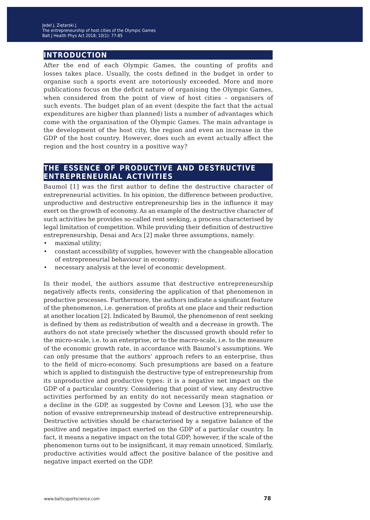## **introduction**

After the end of each Olympic Games, the counting of profits and losses takes place. Usually, the costs defined in the budget in order to organise such a sports event are notoriously exceeded. More and more publications focus on the deficit nature of organising the Olympic Games, when considered from the point of view of host cities – organisers of such events. The budget plan of an event (despite the fact that the actual expenditures are higher than planned) lists a number of advantages which come with the organisation of the Olympic Games. The main advantage is the development of the host city, the region and even an increase in the GDP of the host country. However, does such an event actually affect the region and the host country in a positive way?

## **the essence of productive and destructive entrepreneurial activities**

Baumol [1] was the first author to define the destructive character of entrepreneurial activities. In his opinion, the difference between productive, unproductive and destructive entrepreneurship lies in the influence it may exert on the growth of economy. As an example of the destructive character of such activities he provides so-called rent seeking, a process characterised by legal limitation of competition. While providing their definition of destructive entrepreneurship, Desai and Acs [2] make three assumptions, namely:

- maximal utility;
- constant accessibility of supplies, however with the changeable allocation of entrepreneurial behaviour in economy;
- necessary analysis at the level of economic development.

In their model, the authors assume that destructive entrepreneurship negatively affects rents, considering the application of that phenomenon in productive processes. Furthermore, the authors indicate a significant feature of the phenomenon, i.e. generation of profits at one place and their reduction at another location [2]. Indicated by Baumol, the phenomenon of rent seeking is defined by them as redistribution of wealth and a decrease in growth. The authors do not state precisely whether the discussed growth should refer to the micro-scale, i.e. to an enterprise, or to the macro-scale, i.e. to the measure of the economic growth rate, in accordance with Baumol's assumptions. We can only presume that the authors' approach refers to an enterprise, thus to the field of micro-economy. Such presumptions are based on a feature which is applied to distinguish the destructive type of entrepreneurship from its unproductive and productive types: it is a negative net impact on the GDP of a particular country. Considering that point of view, any destructive activities performed by an entity do not necessarily mean stagnation or a decline in the GDP, as suggested by Covne and Leeson [3], who use the notion of evasive entrepreneurship instead of destructive entrepreneurship. Destructive activities should be characterised by a negative balance of the positive and negative impact exerted on the GDP of a particular country. In fact, it means a negative impact on the total GDP; however, if the scale of the phenomenon turns out to be insignificant, it may remain unnoticed. Similarly, productive activities would affect the positive balance of the positive and negative impact exerted on the GDP.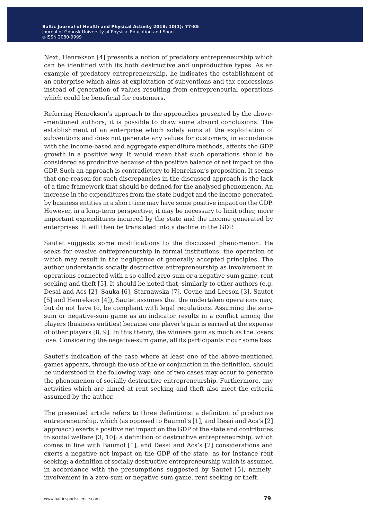Next, Henrekson [4] presents a notion of predatory entrepreneurship which can be identified with its both destructive and unproductive types. As an example of predatory entrepreneurship, he indicates the establishment of an enterprise which aims at exploitation of subventions and tax concessions instead of generation of values resulting from entrepreneurial operations which could be beneficial for customers.

Referring Henrekson's approach to the approaches presented by the above- -mentioned authors, it is possible to draw some absurd conclusions. The establishment of an enterprise which solely aims at the exploitation of subventions and does not generate any values for customers, in accordance with the income-based and aggregate expenditure methods, affects the GDP growth in a positive way. It would mean that such operations should be considered as productive because of the positive balance of net impact on the GDP. Such an approach is contradictory to Henrekson's proposition. It seems that one reason for such discrepancies in the discussed approach is the lack of a time framework that should be defined for the analysed phenomenon. An increase in the expenditures from the state budget and the income generated by business entities in a short time may have some positive impact on the GDP. However, in a long-term perspective, it may be necessary to limit other, more important expenditures incurred by the state and the income generated by enterprises. It will then be translated into a decline in the GDP.

Sautet suggests some modifications to the discussed phenomenon. He seeks for evasive entrepreneurship in formal institutions, the operation of which may result in the negligence of generally accepted principles. The author understands socially destructive entrepreneurship as involvement in operations connected with a so-called zero-sum or a negative-sum game, rent seeking and theft [5]. It should be noted that, similarly to other authors (e.g. Desai and Acs [2], Sauka [6], Starnawska [7], Covne and Leeson [3], Sautet [5] and Henrekson [4]), Sautet assumes that the undertaken operations may, but do not have to, be compliant with legal regulations. Assuming the zerosum or negative-sum game as an indicator results in a conflict among the players (business entities) because one player's gain is earned at the expense of other players [8, 9]. In this theory, the winners gain as much as the losers lose. Considering the negative-sum game, all its participants incur some loss.

Sautet's indication of the case where at least one of the above-mentioned games appears, through the use of the or conjunction in the definition, should be understood in the following way: one of two cases may occur to generate the phenomenon of socially destructive entrepreneurship. Furthermore, any activities which are aimed at rent seeking and theft also meet the criteria assumed by the author.

The presented article refers to three definitions: a definition of productive entrepreneurship, which (as opposed to Baumol's [1], and Desai and Acs's [2] approach) exerts a positive net impact on the GDP of the state and contributes to social welfare [3, 10]; a definition of destructive entrepreneurship, which comes in line with Baumol [1], and Desai and Acs's [2] considerations and exerts a negative net impact on the GDP of the state, as for instance rent seeking; a definition of socially destructive entrepreneurship which is assumed in accordance with the presumptions suggested by Sautet [5], namely: involvement in a zero-sum or negative-sum game, rent seeking or theft.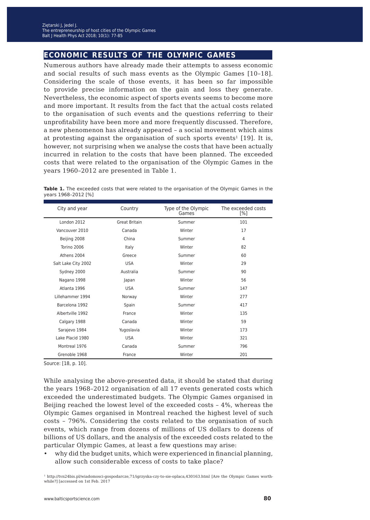## **economic results of the olympic games**

Numerous authors have already made their attempts to assess economic and social results of such mass events as the Olympic Games [10–18]. Considering the scale of those events, it has been so far impossible to provide precise information on the gain and loss they generate. Nevertheless, the economic aspect of sports events seems to become more and more important. It results from the fact that the actual costs related to the organisation of such events and the questions referring to their unprofitability have been more and more frequently discussed. Therefore, a new phenomenon has already appeared – a social movement which aims at protesting against the organisation of such sports events<sup>1</sup> [19]. It is, however, not surprising when we analyse the costs that have been actually incurred in relation to the costs that have been planned. The exceeded costs that were related to the organisation of the Olympic Games in the years 1960–2012 are presented in Table 1.

Table 1. The exceeded costs that were related to the organisation of the Olympic Games in the years 1968–2012 [%]

| City and year       | Country       | Type of the Olympic<br>Games | The exceeded costs<br>[%] |
|---------------------|---------------|------------------------------|---------------------------|
| London 2012         | Great Britain | Summer                       | 101                       |
| Vancouver 2010      | Canada        | Winter                       | 17                        |
| Beijing 2008        | China         | Summer                       | 4                         |
| Torino 2006         | Italy         | Winter                       | 82                        |
| Athens 2004         | Greece        | Summer                       | 60                        |
| Salt Lake City 2002 | <b>USA</b>    | Winter                       | 29                        |
| Sydney 2000         | Australia     | Summer                       | 90                        |
| Nagano 1998         | Japan         | Winter                       | 56                        |
| Atlanta 1996        | <b>USA</b>    | Summer                       | 147                       |
| Lillehammer 1994    | Norway        | Winter                       | 277                       |
| Barcelona 1992      | Spain         | Summer                       | 417                       |
| Albertville 1992    | France        | Winter                       | 135                       |
| Calgary 1988        | Canada        | Winter                       | 59                        |
| Sarajevo 1984       | Yugoslavia    | Winter                       | 173                       |
| Lake Placid 1980    | <b>USA</b>    | Winter                       | 321                       |
| Montreal 1976       | Canada        | Summer                       | 796                       |
| Grenoble 1968       | France        | Winter                       | 201                       |

Source: [18, p. 10].

While analysing the above-presented data, it should be stated that during the years 1968–2012 organisation of all 17 events generated costs which exceeded the underestimated budgets. The Olympic Games organised in Beijing reached the lowest level of the exceeded costs – 4%, whereas the Olympic Games organised in Montreal reached the highest level of such costs – 796%. Considering the costs related to the organisation of such events, which range from dozens of millions of US dollars to dozens of billions of US dollars, and the analysis of the exceeded costs related to the particular Olympic Games, at least a few questions may arise:

• why did the budget units, which were experienced in financial planning, allow such considerable excess of costs to take place?

1 http://tvn24bis.pl/wiadomosci-gospodarcze,71/igrzyska-czy-to-sie-oplaca,430163.html [Are the Olympic Games worthwhile?] [accessed on 1st Feb. 2017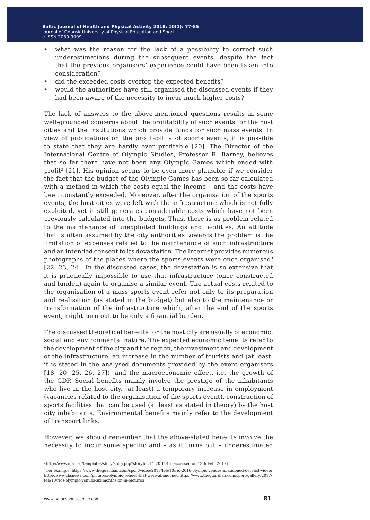- what was the reason for the lack of a possibility to correct such underestimations during the subsequent events, despite the fact that the previous organisers' experience could have been taken into consideration?
- did the exceeded costs overtop the expected benefits?
- would the authorities have still organised the discussed events if they had been aware of the necessity to incur much higher costs?

The lack of answers to the above-mentioned questions results in some well-grounded concerns about the profitability of such events for the host cities and the institutions which provide funds for such mass events. In view of publications on the profitability of sports events, it is possible to state that they are hardly ever profitable [20]. The Director of the International Centre of Olympic Studies, Professor R. Barney, believes that so far there have not been any Olympic Games which ended with profit<sup>2</sup> [21]. His opinion seems to be even more plausible if we consider the fact that the budget of the Olympic Games has been so far calculated with a method in which the costs equal the income – and the costs have been constantly exceeded. Moreover, after the organisation of the sports events, the host cities were left with the infrastructure which is not fully exploited, yet it still generates considerable costs which have not been previously calculated into the budgets. Thus, there is as problem related to the maintenance of unexploited buildings and facilities. An attitude that is often assumed by the city authorities towards the problem is the limitation of expenses related to the maintenance of such infrastructure and an intended consent to its devastation. The Internet provides numerous photographs of the places where the sports events were once organised<sup>3</sup> [22, 23, 24]. In the discussed cases, the devastation is so extensive that it is practically impossible to use that infrastructure (once constructed and funded) again to organise a similar event. The actual costs related to the organisation of a mass sports event refer not only to its preparation and realisation (as stated in the budget) but also to the maintenance or transformation of the infrastructure which, after the end of the sports event, might turn out to be only a financial burden.

The discussed theoretical benefits for the host city are usually of economic, social and environmental nature. The expected economic benefits refer to the development of the city and the region, the investment and development of the infrastructure, an increase in the number of tourists and (at least, it is stated in the analysed documents provided by the event organisers [18, 20, 25, 26, 27]), and the macroeconomic effect, i.e. the growth of the GDP. Social benefits mainly involve the prestige of the inhabitants who live in the host city, (at least) a temporary increase in employment (vacancies related to the organisation of the sports event), construction of sports facilities that can be used (at least as stated in theory) by the host city inhabitants. Environmental benefits mainly refer to the development of transport links.

However, we should remember that the above-stated benefits involve the necessity to incur some specific and – as it turns out – underestimated

<sup>2</sup>http://www.npr.org/templates/story/story.php?storyId=113351145 [accessed on 13th Feb. 2017]

 $^3$  For example: https://www.theguardian.com/sport/video/2017/feb/10/rio-2016-olympic-venues-abandoned-derelict-video; http://www.cbsnews.com/pictures/olympic-venues-that-were-abandoned https://www.theguardian.com/sport/gallery/2017/ feb/10/rios-olympic-venues-six-months-on-in-pictures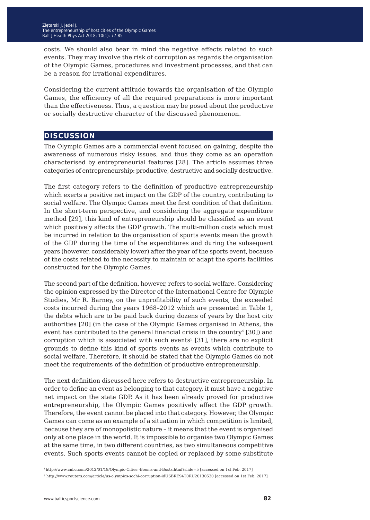costs. We should also bear in mind the negative effects related to such events. They may involve the risk of corruption as regards the organisation of the Olympic Games, procedures and investment processes, and that can be a reason for irrational expenditures.

Considering the current attitude towards the organisation of the Olympic Games, the efficiency of all the required preparations is more important than the effectiveness. Thus, a question may be posed about the productive or socially destructive character of the discussed phenomenon.

### **discussion**

The Olympic Games are a commercial event focused on gaining, despite the awareness of numerous risky issues, and thus they come as an operation characterised by entrepreneurial features [28]. The article assumes three categories of entrepreneurship: productive, destructive and socially destructive.

The first category refers to the definition of productive entrepreneurship which exerts a positive net impact on the GDP of the country, contributing to social welfare. The Olympic Games meet the first condition of that definition. In the short-term perspective, and considering the aggregate expenditure method [29], this kind of entrepreneurship should be classified as an event which positively affects the GDP growth. The multi-million costs which must be incurred in relation to the organisation of sports events mean the growth of the GDP during the time of the expenditures and during the subsequent years (however, considerably lower) after the year of the sports event, because of the costs related to the necessity to maintain or adapt the sports facilities constructed for the Olympic Games.

The second part of the definition, however, refers to social welfare. Considering the opinion expressed by the Director of the International Centre for Olympic Studies, Mr R. Barney, on the unprofitability of such events, the exceeded costs incurred during the years 1968–2012 which are presented in Table 1, the debts which are to be paid back during dozens of years by the host city authorities [20] (in the case of the Olympic Games organised in Athens, the event has contributed to the general financial crisis in the country<sup>4</sup> [30]) and corruption which is associated with such events<sup>5</sup> [31], there are no explicit grounds to define this kind of sports events as events which contribute to social welfare. Therefore, it should be stated that the Olympic Games do not meet the requirements of the definition of productive entrepreneurship.

The next definition discussed here refers to destructive entrepreneurship. In order to define an event as belonging to that category, it must have a negative net impact on the state GDP. As it has been already proved for productive entrepreneurship, the Olympic Games positively affect the GDP growth. Therefore, the event cannot be placed into that category. However, the Olympic Games can come as an example of a situation in which competition is limited, because they are of monopolistic nature – it means that the event is organised only at one place in the world. It is impossible to organise two Olympic Games at the same time, in two different countries, as two simultaneous competitive events. Such sports events cannot be copied or replaced by some substitute

<sup>4</sup>http://www.cnbc.com/2012/01/19/Olympic-Cities:-Booms-and-Busts.html?slide=5 [accessed on 1st Feb. 2017] <sup>5</sup> http://www.reuters.com/article/us-olympics-sochi-corruption-idUSBRE94T0RU20130530 [accessed on 1st Feb. 2017]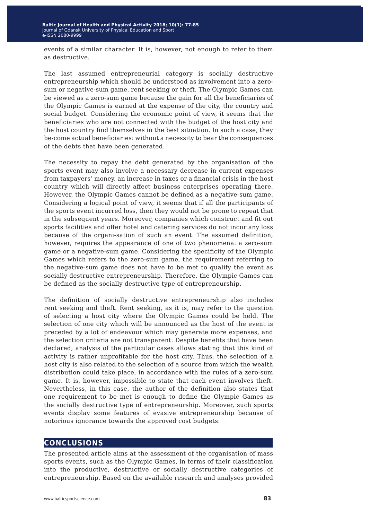events of a similar character. It is, however, not enough to refer to them as destructive.

The last assumed entrepreneurial category is socially destructive entrepreneurship which should be understood as involvement into a zerosum or negative-sum game, rent seeking or theft. The Olympic Games can be viewed as a zero-sum game because the gain for all the beneficiaries of the Olympic Games is earned at the expense of the city, the country and social budget. Considering the economic point of view, it seems that the beneficiaries who are not connected with the budget of the host city and the host country find themselves in the best situation. In such a case, they be-come actual beneficiaries: without a necessity to bear the consequences of the debts that have been generated.

The necessity to repay the debt generated by the organisation of the sports event may also involve a necessary decrease in current expenses from taxpayers' money, an increase in taxes or a financial crisis in the host country which will directly affect business enterprises operating there. However, the Olympic Games cannot be defined as a negative-sum game. Considering a logical point of view, it seems that if all the participants of the sports event incurred loss, then they would not be prone to repeat that in the subsequent years. Moreover, companies which construct and fit out sports facilities and offer hotel and catering services do not incur any loss because of the organi-sation of such an event. The assumed definition, however, requires the appearance of one of two phenomena: a zero-sum game or a negative-sum game. Considering the specificity of the Olympic Games which refers to the zero-sum game, the requirement referring to the negative-sum game does not have to be met to qualify the event as socially destructive entrepreneurship. Therefore, the Olympic Games can be defined as the socially destructive type of entrepreneurship.

The definition of socially destructive entrepreneurship also includes rent seeking and theft. Rent seeking, as it is, may refer to the question of selecting a host city where the Olympic Games could be held. The selection of one city which will be announced as the host of the event is preceded by a lot of endeavour which may generate more expenses, and the selection criteria are not transparent. Despite benefits that have been declared, analysis of the particular cases allows stating that this kind of activity is rather unprofitable for the host city. Thus, the selection of a host city is also related to the selection of a source from which the wealth distribution could take place, in accordance with the rules of a zero-sum game. It is, however, impossible to state that each event involves theft. Nevertheless, in this case, the author of the definition also states that one requirement to be met is enough to define the Olympic Games as the socially destructive type of entrepreneurship. Moreover, such sports events display some features of evasive entrepreneurship because of notorious ignorance towards the approved cost budgets.

### **conclusions**

The presented article aims at the assessment of the organisation of mass sports events, such as the Olympic Games, in terms of their classification into the productive, destructive or socially destructive categories of entrepreneurship. Based on the available research and analyses provided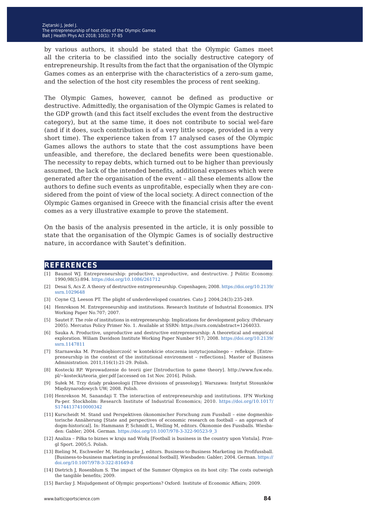by various authors, it should be stated that the Olympic Games meet all the criteria to be classified into the socially destructive category of entrepreneurship. It results from the fact that the organisation of the Olympic Games comes as an enterprise with the characteristics of a zero-sum game, and the selection of the host city resembles the process of rent seeking.

The Olympic Games, however, cannot be defined as productive or destructive. Admittedly, the organisation of the Olympic Games is related to the GDP growth (and this fact itself excludes the event from the destructive category), but at the same time, it does not contribute to social wel-fare (and if it does, such contribution is of a very little scope, provided in a very short time). The experience taken from 17 analysed cases of the Olympic Games allows the authors to state that the cost assumptions have been unfeasible, and therefore, the declared benefits were been questionable. The necessity to repay debts, which turned out to be higher than previously assumed, the lack of the intended benefits, additional expenses which were generated after the organisation of the event – all these elements allow the authors to define such events as unprofitable, especially when they are considered from the point of view of the local society. A direct connection of the Olympic Games organised in Greece with the financial crisis after the event comes as a very illustrative example to prove the statement.

On the basis of the analysis presented in the article, it is only possible to state that the organisation of the Olympic Games is of socially destructive nature, in accordance with Sautet's definition.

#### **references**

- [1] Baumol WJ. Entrepreneurship: productive, unproductive, and destructive. J Politic Economy. 1990;98(5):894.<https://doi.org/10.1086/261712>
- [2] Desai S, Acs Z. A theory of destructive entrepreneurship. Copenhagen; 2008. [https://doi.org/10.2139/](https://doi.org/10.2139/ssrn.1029648) [ssrn.1029648](https://doi.org/10.2139/ssrn.1029648)
- [3] Coyne CJ, Leeson PT. The plight of underdeveloped countries. Cato J. 2004;24(3):235-249.
- [4] Henrekson M. Entrepreneurship and institutions. Research Institute of Industrial Economics. IFN Working Paper No.707; 2007.
- [5] Sautet F. The role of institutions in entrepreneurship: Implications for development policy. (February 2005). Mercatus Policy Primer No. 1. Available at SSRN: https://ssrn.com/abstract=1264033.
- [6] Sauka A. Productive, unproductive and destructive entrepreneurship: A theoretical and empirical exploration. Wiliam Davidson Institute Working Paper Number 917; 2008. [https://doi.org/10.2139/](https://doi.org/10.2139/ssrn.1147811) [ssrn.1147811](https://doi.org/10.2139/ssrn.1147811)
- [7] Starnawska M. Przedsiębiorczość w kontekście otoczenia instytucjonalnego refleksje. [Entrepreneurship in the context of the institutional environment – reflections]. Master of Business Administration. 2011;116(1):21-29. Polish.
- [8] Kostecki RP. Wprowadzenie do teorii gier [Introduction to game theory]. http://www.fuw.edu. pl/~kostecki/teoria\_gier.pdf [accessed on 1st Nov. 2016]. Polish.
- [9] Sułek M. Trzy działy prakseologii [Three divisions of praxeology]. Warszawa: Instytut Stosunków Międzynarodowych UW; 2008. Polish.
- [10] Henrekson M, Sanandaji T. The interaction of entrepreneurship and institutions. IFN Working Pa-per. Stockholm: Research Institute of Industrial Economics; 2010. [https://doi.org/10.1017/](https://doi.org/10.1017/S1744137410000342) [S1744137410000342](https://doi.org/10.1017/S1744137410000342)
- [11] Kurscheidt M. Stand und Perspektiven ökonomischer Forschung zum Fussball eine dogmenhistorische Annäherung [State and perspectives of economic research on football – an approach of dogm-historical]. In: Hammann P, Schmidt L, Welling M, editors. Ökonomie des Fussballs. Wiesbaden: Gabler; 2004. German. [https://doi.org/10.1007/978-3-322-90523-9\\_3](https://doi.org/10.1007/978-3-322-90523-9_3)
- [12] Analiza Piłka to biznes w kraju nad Wisłą [Football is business in the country upon Vistula]. Przegl Sport. 2005;5. Polish.
- [13] Bieling M, Eschweiler M, Hardenacke J, editors. Business-to-Business Marketing im Profifussball. [Business-to-business marketing in professional football]. Wiesbaden: Gabler; 2004. German. [https://](https://doi.org/10.1007/978-3-322-81649-8) [doi.org/10.1007/978-3-322-81649-8](https://doi.org/10.1007/978-3-322-81649-8)
- [14] Dietrich J, Rosenblum S. The impact of the Summer Olympics on its host city: The costs outweigh the tangible benefits; 2009.
- [15] Barclay J. Misjudgement of Olympic proportions? Oxford: Institute of Economic Affairs; 2009.